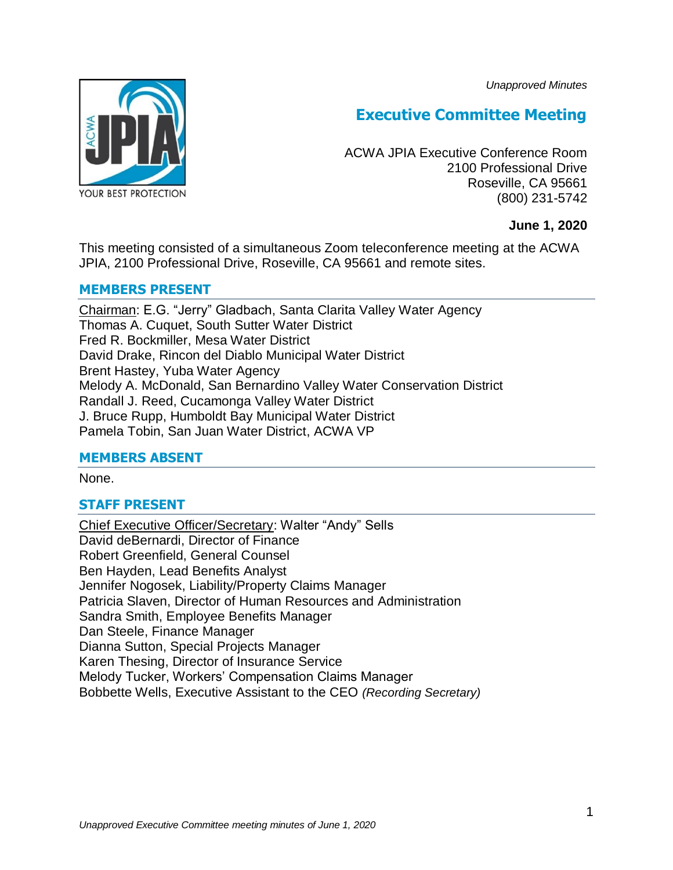*Unapproved Minutes*



# **Executive Committee Meeting**

ACWA JPIA Executive Conference Room 2100 Professional Drive Roseville, CA 95661 (800) 231-5742

# **June 1, 2020**

This meeting consisted of a simultaneous Zoom teleconference meeting at the ACWA JPIA, 2100 Professional Drive, Roseville, CA 95661 and remote sites.

#### **MEMBERS PRESENT**

Chairman: E.G. "Jerry" Gladbach, Santa Clarita Valley Water Agency Thomas A. Cuquet, South Sutter Water District Fred R. Bockmiller, Mesa Water District David Drake, Rincon del Diablo Municipal Water District Brent Hastey, Yuba Water Agency Melody A. McDonald, San Bernardino Valley Water Conservation District Randall J. Reed, Cucamonga Valley Water District J. Bruce Rupp, Humboldt Bay Municipal Water District Pamela Tobin, San Juan Water District, ACWA VP

# **MEMBERS ABSENT**

None.

# **STAFF PRESENT**

Chief Executive Officer/Secretary: Walter "Andy" Sells David deBernardi, Director of Finance Robert Greenfield, General Counsel Ben Hayden, Lead Benefits Analyst Jennifer Nogosek, Liability/Property Claims Manager Patricia Slaven, Director of Human Resources and Administration Sandra Smith, Employee Benefits Manager Dan Steele, Finance Manager Dianna Sutton, Special Projects Manager Karen Thesing, Director of Insurance Service Melody Tucker, Workers' Compensation Claims Manager Bobbette Wells, Executive Assistant to the CEO *(Recording Secretary)*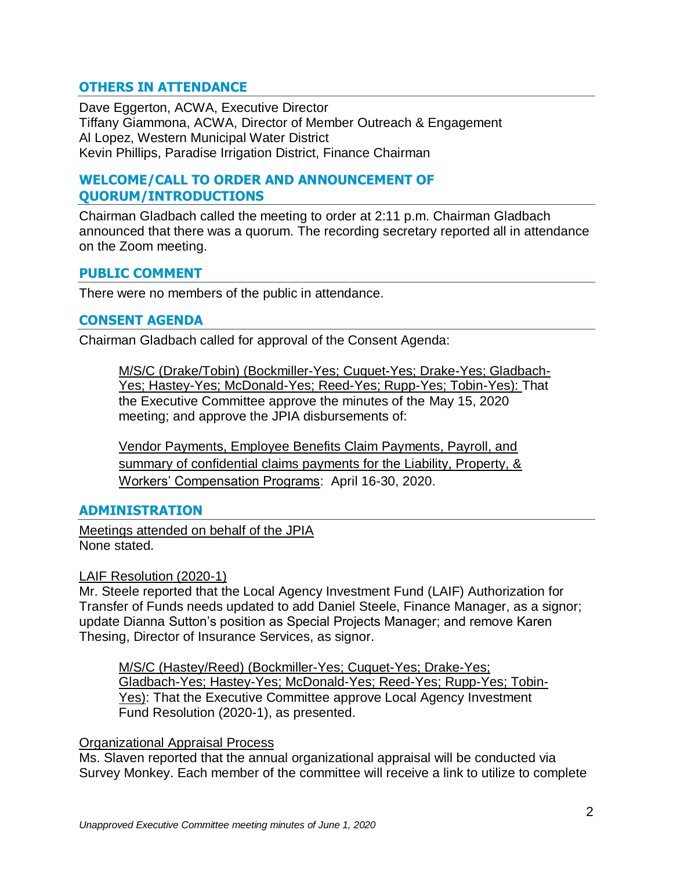# **OTHERS IN ATTENDANCE**

Dave Eggerton, ACWA, Executive Director Tiffany Giammona, ACWA, Director of Member Outreach & Engagement Al Lopez, Western Municipal Water District Kevin Phillips, Paradise Irrigation District, Finance Chairman

# **WELCOME/CALL TO ORDER AND ANNOUNCEMENT OF QUORUM/INTRODUCTIONS**

Chairman Gladbach called the meeting to order at 2:11 p.m. Chairman Gladbach announced that there was a quorum. The recording secretary reported all in attendance on the Zoom meeting.

#### **PUBLIC COMMENT**

There were no members of the public in attendance.

#### **CONSENT AGENDA**

Chairman Gladbach called for approval of the Consent Agenda:

M/S/C (Drake/Tobin) (Bockmiller-Yes; Cuquet-Yes; Drake-Yes; Gladbach-Yes; Hastey-Yes; McDonald-Yes; Reed-Yes; Rupp-Yes; Tobin-Yes): That the Executive Committee approve the minutes of the May 15, 2020 meeting; and approve the JPIA disbursements of:

Vendor Payments, Employee Benefits Claim Payments, Payroll, and summary of confidential claims payments for the Liability, Property, & Workers' Compensation Programs: April 16-30, 2020.

# **ADMINISTRATION**

Meetings attended on behalf of the JPIA None stated.

#### LAIF Resolution (2020-1)

Mr. Steele reported that the Local Agency Investment Fund (LAIF) Authorization for Transfer of Funds needs updated to add Daniel Steele, Finance Manager, as a signor; update Dianna Sutton's position as Special Projects Manager; and remove Karen Thesing, Director of Insurance Services, as signor.

M/S/C (Hastey/Reed) (Bockmiller-Yes; Cuquet-Yes; Drake-Yes; Gladbach-Yes; Hastey-Yes; McDonald-Yes; Reed-Yes; Rupp-Yes; Tobin-Yes): That the Executive Committee approve Local Agency Investment Fund Resolution (2020-1), as presented.

#### Organizational Appraisal Process

Ms. Slaven reported that the annual organizational appraisal will be conducted via Survey Monkey. Each member of the committee will receive a link to utilize to complete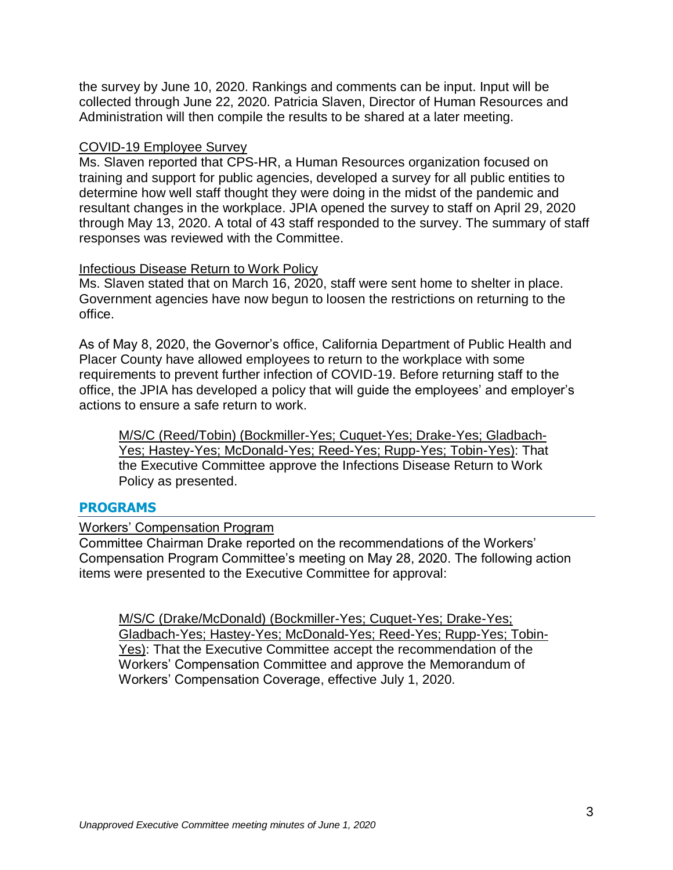the survey by June 10, 2020. Rankings and comments can be input. Input will be collected through June 22, 2020. Patricia Slaven, Director of Human Resources and Administration will then compile the results to be shared at a later meeting.

#### COVID-19 Employee Survey

Ms. Slaven reported that CPS-HR, a Human Resources organization focused on training and support for public agencies, developed a survey for all public entities to determine how well staff thought they were doing in the midst of the pandemic and resultant changes in the workplace. JPIA opened the survey to staff on April 29, 2020 through May 13, 2020. A total of 43 staff responded to the survey. The summary of staff responses was reviewed with the Committee.

#### Infectious Disease Return to Work Policy

Ms. Slaven stated that on March 16, 2020, staff were sent home to shelter in place. Government agencies have now begun to loosen the restrictions on returning to the office.

As of May 8, 2020, the Governor's office, California Department of Public Health and Placer County have allowed employees to return to the workplace with some requirements to prevent further infection of COVID-19. Before returning staff to the office, the JPIA has developed a policy that will guide the employees' and employer's actions to ensure a safe return to work.

M/S/C (Reed/Tobin) (Bockmiller-Yes; Cuquet-Yes; Drake-Yes; Gladbach-Yes; Hastey-Yes; McDonald-Yes; Reed-Yes; Rupp-Yes; Tobin-Yes): That the Executive Committee approve the Infections Disease Return to Work Policy as presented.

# **PROGRAMS**

# Workers' Compensation Program

Committee Chairman Drake reported on the recommendations of the Workers' Compensation Program Committee's meeting on May 28, 2020. The following action items were presented to the Executive Committee for approval:

M/S/C (Drake/McDonald) (Bockmiller-Yes; Cuquet-Yes; Drake-Yes; Gladbach-Yes; Hastey-Yes; McDonald-Yes; Reed-Yes; Rupp-Yes; Tobin-Yes): That the Executive Committee accept the recommendation of the Workers' Compensation Committee and approve the Memorandum of Workers' Compensation Coverage, effective July 1, 2020.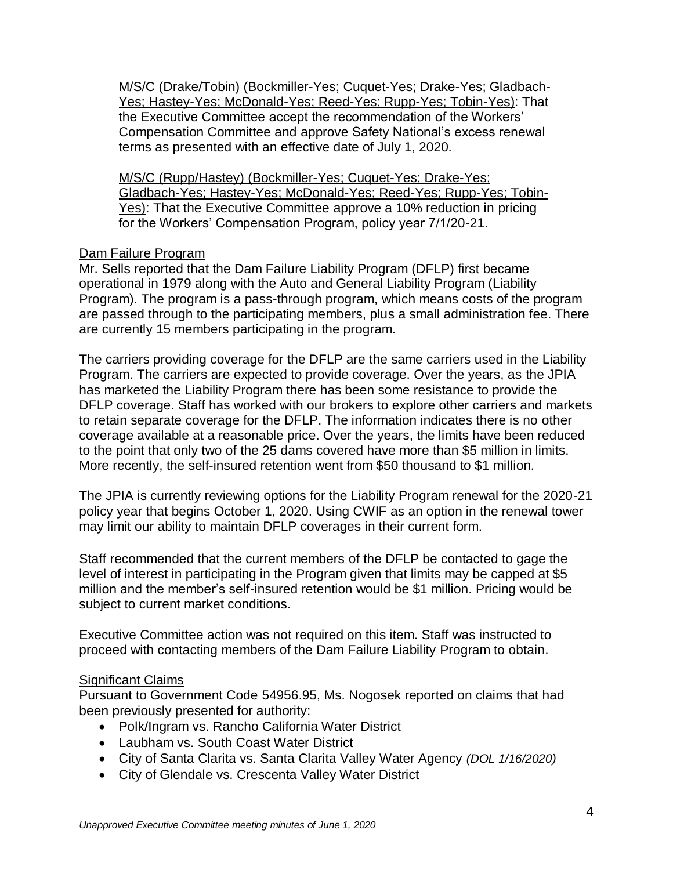M/S/C (Drake/Tobin) (Bockmiller-Yes; Cuquet-Yes; Drake-Yes; Gladbach-Yes; Hastey-Yes; McDonald-Yes; Reed-Yes; Rupp-Yes; Tobin-Yes): That the Executive Committee accept the recommendation of the Workers' Compensation Committee and approve Safety National's excess renewal terms as presented with an effective date of July 1, 2020.

M/S/C (Rupp/Hastey) (Bockmiller-Yes; Cuquet-Yes; Drake-Yes; Gladbach-Yes; Hastey-Yes; McDonald-Yes; Reed-Yes; Rupp-Yes; Tobin-Yes): That the Executive Committee approve a 10% reduction in pricing for the Workers' Compensation Program, policy year 7/1/20-21.

# Dam Failure Program

Mr. Sells reported that the Dam Failure Liability Program (DFLP) first became operational in 1979 along with the Auto and General Liability Program (Liability Program). The program is a pass-through program, which means costs of the program are passed through to the participating members, plus a small administration fee. There are currently 15 members participating in the program.

The carriers providing coverage for the DFLP are the same carriers used in the Liability Program. The carriers are expected to provide coverage. Over the years, as the JPIA has marketed the Liability Program there has been some resistance to provide the DFLP coverage. Staff has worked with our brokers to explore other carriers and markets to retain separate coverage for the DFLP. The information indicates there is no other coverage available at a reasonable price. Over the years, the limits have been reduced to the point that only two of the 25 dams covered have more than \$5 million in limits. More recently, the self-insured retention went from \$50 thousand to \$1 million.

The JPIA is currently reviewing options for the Liability Program renewal for the 2020-21 policy year that begins October 1, 2020. Using CWIF as an option in the renewal tower may limit our ability to maintain DFLP coverages in their current form.

Staff recommended that the current members of the DFLP be contacted to gage the level of interest in participating in the Program given that limits may be capped at \$5 million and the member's self-insured retention would be \$1 million. Pricing would be subject to current market conditions.

Executive Committee action was not required on this item. Staff was instructed to proceed with contacting members of the Dam Failure Liability Program to obtain.

# Significant Claims

Pursuant to Government Code 54956.95, Ms. Nogosek reported on claims that had been previously presented for authority:

- Polk/Ingram vs. Rancho California Water District
- Laubham vs. South Coast Water District
- City of Santa Clarita vs. Santa Clarita Valley Water Agency *(DOL 1/16/2020)*
- City of Glendale vs. Crescenta Valley Water District